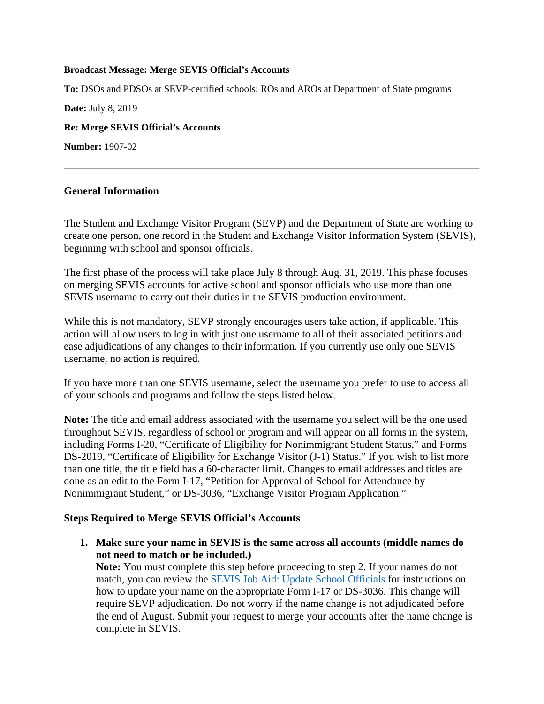#### **Broadcast Message: Merge SEVIS Official's Accounts**

**To:** DSOs and PDSOs at SEVP-certified schools; ROs and AROs at Department of State programs **Date:** July 8, 2019 **Re: Merge SEVIS Official's Accounts Number:** 1907-02

#### **General Information**

The Student and Exchange Visitor Program (SEVP) and the Department of State are working to create one person, one record in the Student and Exchange Visitor Information System (SEVIS), beginning with school and sponsor officials.

The first phase of the process will take place July 8 through Aug. 31, 2019. This phase focuses on merging SEVIS accounts for active school and sponsor officials who use more than one SEVIS username to carry out their duties in the SEVIS production environment.

While this is not mandatory, SEVP strongly encourages users take action, if applicable. This action will allow users to log in with just one username to all of their associated petitions and ease adjudications of any changes to their information. If you currently use only one SEVIS username, no action is required.

If you have more than one SEVIS username, select the username you prefer to use to access all of your schools and programs and follow the steps listed below.

**Note:** The title and email address associated with the username you select will be the one used throughout SEVIS, regardless of school or program and will appear on all forms in the system, including Forms I-20, "Certificate of Eligibility for Nonimmigrant Student Status," and Forms DS-2019, "Certificate of Eligibility for Exchange Visitor (J-1) Status." If you wish to list more than one title, the title field has a 60-character limit. Changes to email addresses and titles are done as an edit to the Form I-17, "Petition for Approval of School for Attendance by Nonimmigrant Student," or DS-3036, "Exchange Visitor Program Application."

#### **Steps Required to Merge SEVIS Official's Accounts**

**1. Make sure your name in SEVIS is the same across all accounts (middle names do not need to match or be included.)**

**Note:** You must complete this step before proceeding to step 2. If your names do not match, you can review the SEVIS Job Aid: [Update School Officials](https://studyinthestates.dhs.gov/sevis-help-hub/learn-more/sevis-job-aids/sevis-job-aid-update-school-officials) for instructions on how to update your name on the appropriate Form I-17 or DS-3036. This change will require SEVP adjudication. Do not worry if the name change is not adjudicated before the end of August. Submit your request to merge your accounts after the name change is complete in SEVIS.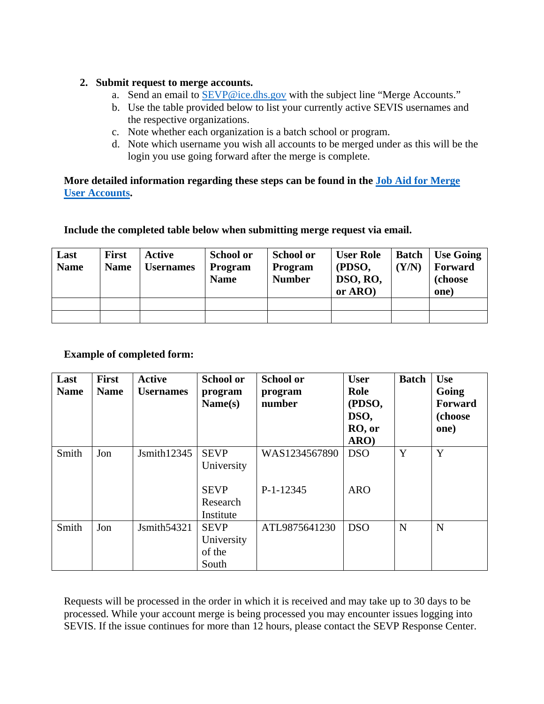#### **2. Submit request to merge accounts.**

- a. Send an email to SEVP@ice.dhs.gov with the subject line "Merge Accounts."
- b. Use the table provided below to list your currently active SEVIS usernames and the respective organizations.
- c. Note whether each organization is a batch school or program.
- d. Note which username you wish all accounts to be merged under as this will be the login you use going forward after the merge is complete.

#### **More detailed information regarding these steps can be found in the [Job Aid for Merge](https://studyinthestates.dhs.gov/assets/Merging_SEVIS_User_Accounts.pdf)  [User Accounts.](https://studyinthestates.dhs.gov/assets/Merging_SEVIS_User_Accounts.pdf)**

#### **Include the completed table below when submitting merge request via email.**

| Last<br><b>Name</b> | <b>First</b><br><b>Name</b> | Active<br>Usernames | <b>School or</b><br><b>Program</b><br><b>Name</b> | <b>School or</b><br><b>Program</b><br><b>Number</b> | <b>User Role</b><br>(PDSO,<br>DSO, RO,<br>or ARO) | <b>Batch</b><br>(Y/N) | <b>Use Going</b><br>Forward<br>(choose)<br>one) |
|---------------------|-----------------------------|---------------------|---------------------------------------------------|-----------------------------------------------------|---------------------------------------------------|-----------------------|-------------------------------------------------|
|                     |                             |                     |                                                   |                                                     |                                                   |                       |                                                 |
|                     |                             |                     |                                                   |                                                     |                                                   |                       |                                                 |

## **Example of completed form:**

| Last<br><b>Name</b> | <b>First</b><br><b>Name</b> | <b>Active</b><br><b>Usernames</b> | <b>School or</b><br>program<br>Name(s)                    | <b>School or</b><br>program<br>number | <b>User</b><br>Role<br>(PDSO,<br>DSO,<br>RO, or<br>ARO) | <b>Batch</b> | <b>Use</b><br>Going<br>Forward<br>(choose<br>one) |
|---------------------|-----------------------------|-----------------------------------|-----------------------------------------------------------|---------------------------------------|---------------------------------------------------------|--------------|---------------------------------------------------|
| Smith               | Jon                         | Jsmith12345                       | <b>SEVP</b><br>University<br><b>SEVP</b><br>Research      | WAS1234567890<br>P-1-12345            | <b>DSO</b><br><b>ARO</b>                                | Y            | Y                                                 |
| Smith               | Jon                         | Jsmith54321                       | Institute<br><b>SEVP</b><br>University<br>of the<br>South | ATL9875641230                         | <b>DSO</b>                                              | N            | N                                                 |

Requests will be processed in the order in which it is received and may take up to 30 days to be processed. While your account merge is being processed you may encounter issues logging into SEVIS. If the issue continues for more than 12 hours, please contact the SEVP Response Center.